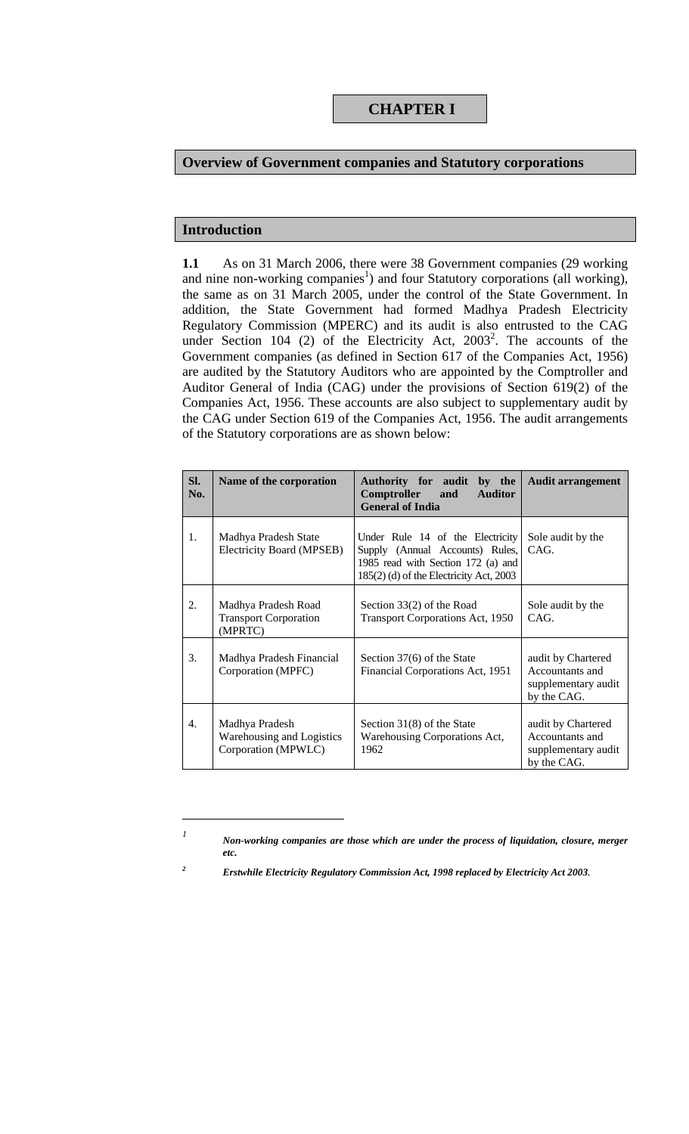# **Overview of Government companies and Statutory corporations**

# **Introduction**

 $\overline{\phantom{a}}$ 

**1.1** As on 31 March 2006, there were 38 Government companies (29 working and nine non-working companies<sup>1</sup>) and four Statutory corporations (all working), the same as on 31 March 2005, under the control of the State Government. In addition, the State Government had formed Madhya Pradesh Electricity Regulatory Commission (MPERC) and its audit is also entrusted to the CAG under Section 104 (2) of the Electricity Act, 2003<sup>2</sup>. The accounts of the Government companies (as defined in Section 617 of the Companies Act, 1956) are audited by the Statutory Auditors who are appointed by the Comptroller and Auditor General of India (CAG) under the provisions of Section 619(2) of the Companies Act, 1956. These accounts are also subject to supplementary audit by the CAG under Section 619 of the Companies Act, 1956. The audit arrangements of the Statutory corporations are as shown below:

| Sl.<br>No.       | Name of the corporation                                            | Authority for audit<br>by the<br>Comptroller<br><b>Auditor</b><br>and<br><b>General of India</b>                                                     | <b>Audit arrangement</b>                                                    |
|------------------|--------------------------------------------------------------------|------------------------------------------------------------------------------------------------------------------------------------------------------|-----------------------------------------------------------------------------|
| 1.               | Madhya Pradesh State<br>Electricity Board (MPSEB)                  | Under Rule 14 of the Electricity<br>Supply (Annual Accounts) Rules,<br>1985 read with Section 172 (a) and<br>185(2) (d) of the Electricity Act, 2003 | Sole audit by the<br>CAG.                                                   |
| 2.               | Madhya Pradesh Road<br><b>Transport Corporation</b><br>(MPRTC)     | Section 33(2) of the Road<br><b>Transport Corporations Act, 1950</b>                                                                                 | Sole audit by the<br>CAG.                                                   |
| 3.               | Madhya Pradesh Financial<br>Corporation (MPFC)                     | Section 37(6) of the State<br>Financial Corporations Act, 1951                                                                                       | audit by Chartered<br>Accountants and<br>supplementary audit<br>by the CAG. |
| $\overline{4}$ . | Madhya Pradesh<br>Warehousing and Logistics<br>Corporation (MPWLC) | Section 31(8) of the State<br>Warehousing Corporations Act,<br>1962                                                                                  | audit by Chartered<br>Accountants and<br>supplementary audit<br>by the CAG. |

*<sup>1</sup> Non-working companies are those which are under the process of liquidation, closure, merger etc.* 

*<sup>2</sup> Erstwhile Electricity Regulatory Commission Act, 1998 replaced by Electricity Act 2003.*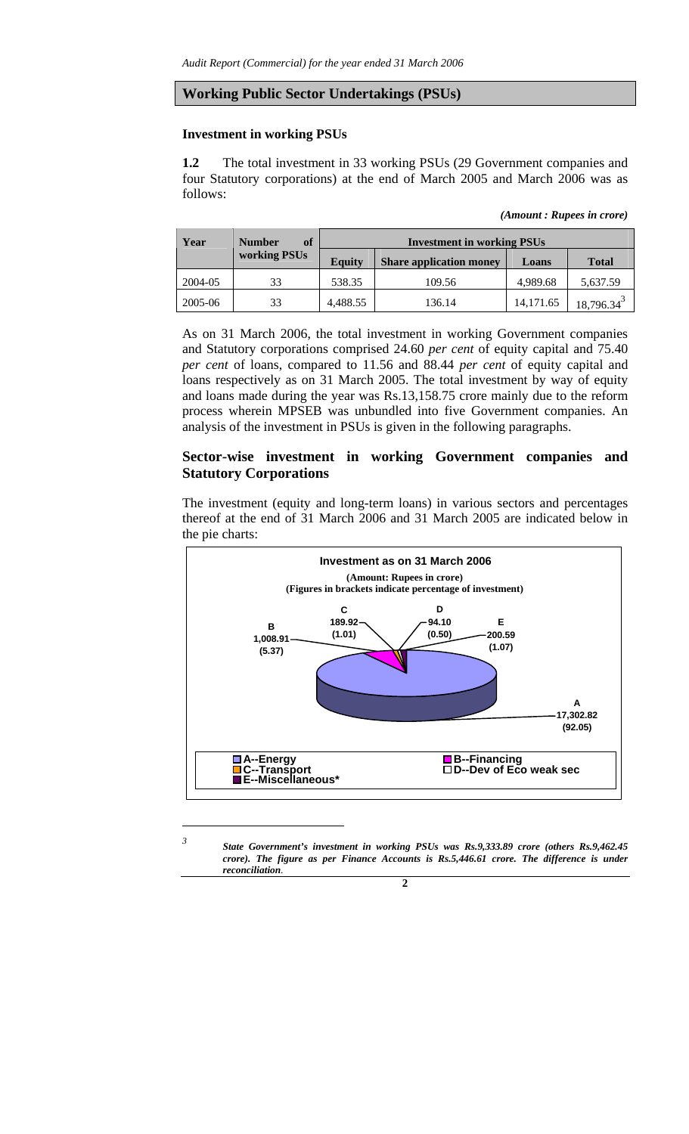#### **Working Public Sector Undertakings (PSUs)**

#### **Investment in working PSUs**

 $\overline{\phantom{a}}$ 

**1.2** The total investment in 33 working PSUs (29 Government companies and four Statutory corporations) at the end of March 2005 and March 2006 was as follows:

*<sup>(</sup>Amount : Rupees in crore)* 

| Year    | <b>Number</b><br>of | <b>Investment in working PSUs</b> |                                |           |                        |  |  |
|---------|---------------------|-----------------------------------|--------------------------------|-----------|------------------------|--|--|
|         | working PSUs        | <b>Equity</b>                     | <b>Share application money</b> | Loans     | <b>Total</b>           |  |  |
| 2004-05 | 33                  | 538.35                            | 109.56                         | 4,989.68  | 5,637.59               |  |  |
| 2005-06 | 33                  | 4,488.55                          | 136.14                         | 14,171.65 | 18,796.34 <sup>3</sup> |  |  |

As on 31 March 2006, the total investment in working Government companies and Statutory corporations comprised 24.60 *per cent* of equity capital and 75.40 *per cent* of loans, compared to 11.56 and 88.44 *per cent* of equity capital and loans respectively as on 31 March 2005. The total investment by way of equity and loans made during the year was Rs.13,158.75 crore mainly due to the reform process wherein MPSEB was unbundled into five Government companies. An analysis of the investment in PSUs is given in the following paragraphs.

# **Sector-wise investment in working Government companies and Statutory Corporations**

The investment (equity and long-term loans) in various sectors and percentages thereof at the end of 31 March 2006 and 31 March 2005 are indicated below in the pie charts:



*<sup>3</sup> State Government's investment in working PSUs was Rs.9,333.89 crore (others Rs.9,462.45 crore*). The figure as per Finance Accounts is Rs.5,446.61 crore. The difference is under *reconciliation.* 

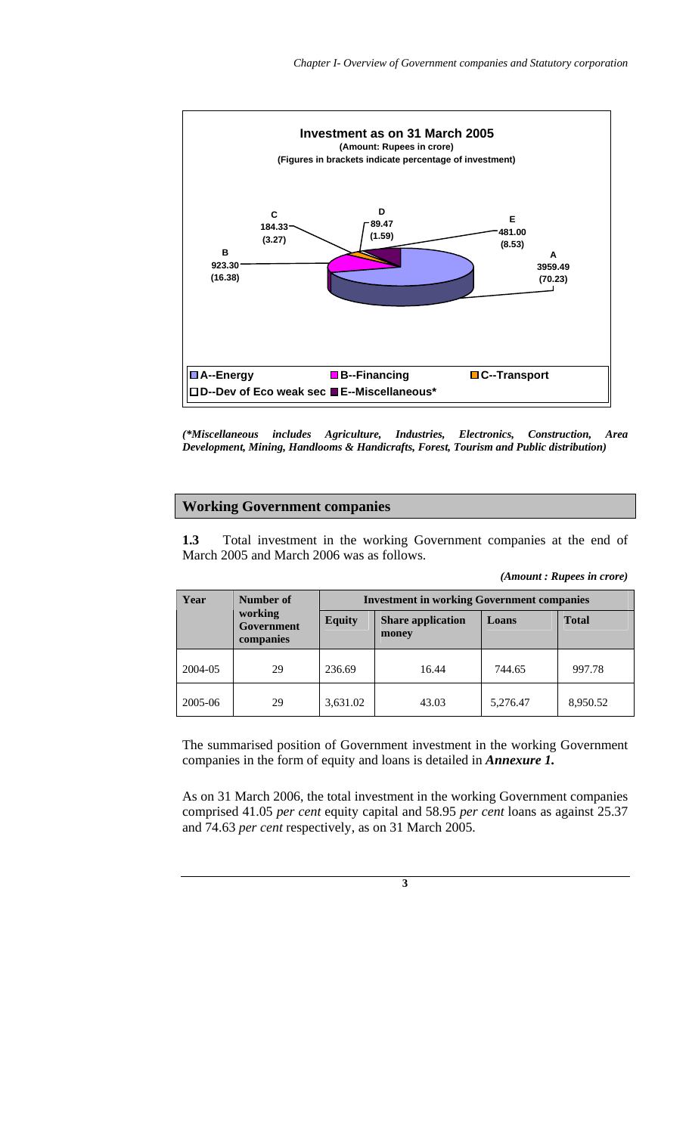

*(\*Miscellaneous includes Agriculture, Industries, Electronics, Construction, Area Development, Mining, Handlooms & Handicrafts, Forest, Tourism and Public distribution)*

### **Working Government companies**

**1.3** Total investment in the working Government companies at the end of March 2005 and March 2006 was as follows.

| Year    | Number of                                 | <b>Investment in working Government companies</b> |                                   |          |              |  |  |
|---------|-------------------------------------------|---------------------------------------------------|-----------------------------------|----------|--------------|--|--|
|         | working<br><b>Government</b><br>companies | <b>Equity</b>                                     | <b>Share application</b><br>money | Loans    | <b>Total</b> |  |  |
| 2004-05 | 29                                        | 236.69                                            | 16.44                             | 744.65   | 997.78       |  |  |
| 2005-06 | 29                                        | 3,631.02                                          | 43.03                             | 5,276.47 | 8,950.52     |  |  |

The summarised position of Government investment in the working Government companies in the form of equity and loans is detailed in *Annexure 1.* 

As on 31 March 2006, the total investment in the working Government companies comprised 41.05 *per cent* equity capital and 58.95 *per cent* loans as against 25.37 and 74.63 *per cent* respectively, as on 31 March 2005.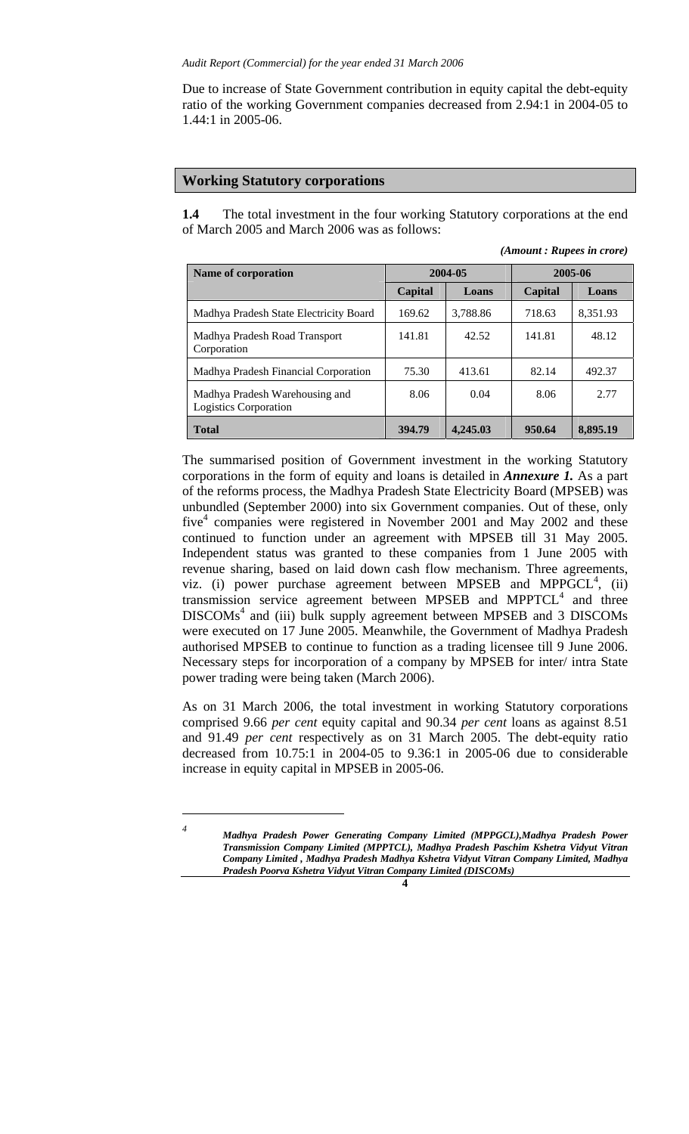Due to increase of State Government contribution in equity capital the debt-equity ratio of the working Government companies decreased from 2.94:1 in 2004-05 to 1.44:1 in 2005-06.

#### **Working Statutory corporations**

**1.4** The total investment in the four working Statutory corporations at the end of March 2005 and March 2006 was as follows:

| (Amount: Rupees in crore) |  |  |  |  |
|---------------------------|--|--|--|--|
|---------------------------|--|--|--|--|

| Name of corporation                                            |         | 2004-05  | 2005-06 |          |  |
|----------------------------------------------------------------|---------|----------|---------|----------|--|
|                                                                | Capital | Loans    | Capital | Loans    |  |
| Madhya Pradesh State Electricity Board                         | 169.62  | 3,788.86 | 718.63  | 8,351.93 |  |
| Madhya Pradesh Road Transport<br>Corporation                   | 141.81  | 42.52    | 141.81  | 48.12    |  |
| Madhya Pradesh Financial Corporation                           | 75.30   | 413.61   | 82.14   | 492.37   |  |
| Madhya Pradesh Warehousing and<br><b>Logistics Corporation</b> | 8.06    | 0.04     | 8.06    | 2.77     |  |
| <b>Total</b>                                                   | 394.79  | 4,245.03 | 950.64  | 8,895.19 |  |

The summarised position of Government investment in the working Statutory corporations in the form of equity and loans is detailed in *Annexure 1.* As a part of the reforms process, the Madhya Pradesh State Electricity Board (MPSEB) was unbundled (September 2000) into six Government companies. Out of these, only five<sup>4</sup> companies were registered in November 2001 and May 2002 and these continued to function under an agreement with MPSEB till 31 May 2005. Independent status was granted to these companies from 1 June 2005 with revenue sharing, based on laid down cash flow mechanism. Three agreements, viz. (i) power purchase agreement between MPSEB and MPP $\tilde{GCL}^4$ , (ii) transmission service agreement between MPSEB and MPPTCL $4$  and three DISCOMs<sup>4</sup> and (iii) bulk supply agreement between MPSEB and 3 DISCOMs were executed on 17 June 2005. Meanwhile, the Government of Madhya Pradesh authorised MPSEB to continue to function as a trading licensee till 9 June 2006. Necessary steps for incorporation of a company by MPSEB for inter/ intra State power trading were being taken (March 2006).

As on 31 March 2006, the total investment in working Statutory corporations comprised 9.66 *per cent* equity capital and 90.34 *per cent* loans as against 8.51 and 91.49 *per cent* respectively as on 31 March 2005. The debt-equity ratio decreased from 10.75:1 in 2004-05 to 9.36:1 in 2005-06 due to considerable increase in equity capital in MPSEB in 2005-06.

 $\overline{a}$ 

*<sup>4</sup> Madhya Pradesh Power Generating Company Limited (MPPGCL),Madhya Pradesh Power Transmission Company Limited (MPPTCL), Madhya Pradesh Paschim Kshetra Vidyut Vitran Company Limited , Madhya Pradesh Madhya Kshetra Vidyut Vitran Company Limited, Madhya Pradesh Poorva Kshetra Vidyut Vitran Company Limited (DISCOMs)*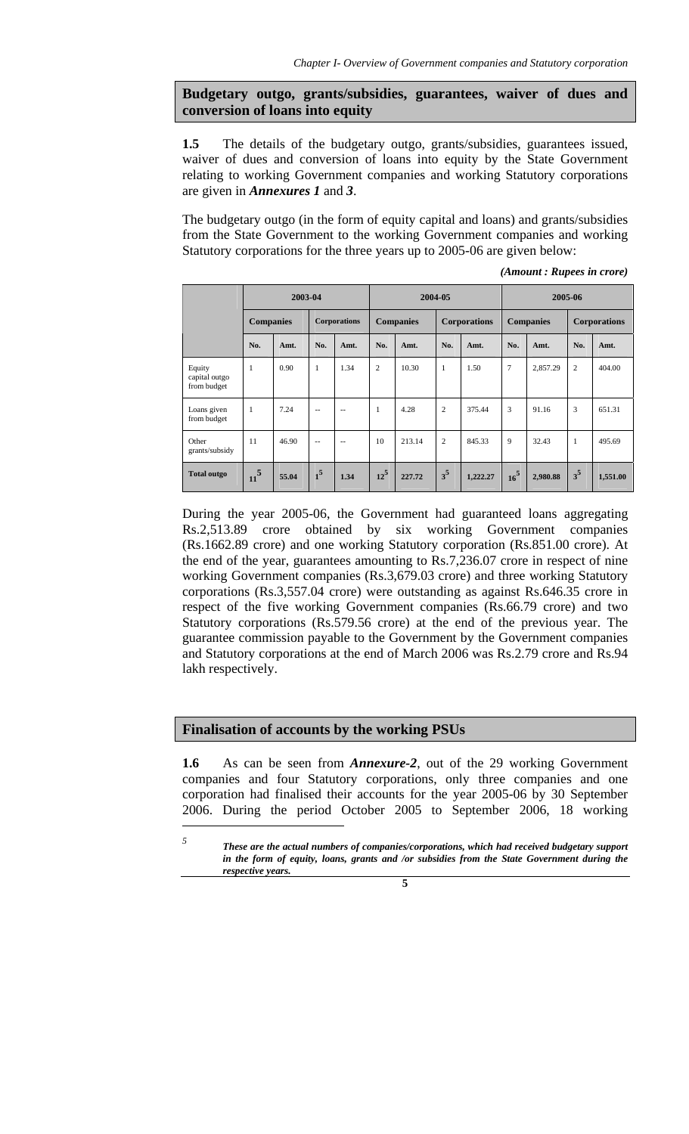**Budgetary outgo, grants/subsidies, guarantees, waiver of dues and conversion of loans into equity** 

**1.5** The details of the budgetary outgo, grants/subsidies, guarantees issued, waiver of dues and conversion of loans into equity by the State Government relating to working Government companies and working Statutory corporations are given in *Annexures 1* and *3*.

The budgetary outgo (in the form of equity capital and loans) and grants/subsidies from the State Government to the working Government companies and working Statutory corporations for the three years up to 2005-06 are given below:

|                                        | 2003-04          |       |                     | 2004-05 |                  |        | 2005-06             |          |                  |          |                     |          |
|----------------------------------------|------------------|-------|---------------------|---------|------------------|--------|---------------------|----------|------------------|----------|---------------------|----------|
|                                        | <b>Companies</b> |       | <b>Corporations</b> |         | <b>Companies</b> |        | <b>Corporations</b> |          | <b>Companies</b> |          | <b>Corporations</b> |          |
|                                        | No.              | Amt.  | No.                 | Amt.    | No.              | Amt.   | No.                 | Amt.     | No.              | Amt.     | No.                 | Amt.     |
| Equity<br>capital outgo<br>from budget | $\mathbf{1}$     | 0.90  | $\mathbf{1}$        | 1.34    | $\overline{c}$   | 10.30  | 1                   | 1.50     | 7                | 2,857.29 | $\overline{c}$      | 404.00   |
| Loans given<br>from budget             | $\overline{1}$   | 7.24  | $-$                 | $-$     | 1                | 4.28   | $\overline{c}$      | 375.44   | 3                | 91.16    | 3                   | 651.31   |
| Other<br>grants/subsidy                | 11               | 46.90 | $\sim$ $\sim$       | --      | 10               | 213.14 | $\overline{c}$      | 845.33   | 9                | 32.43    | 1                   | 495.69   |
| <b>Total outgo</b>                     | $11^{5}$         | 55.04 | $\overline{1^5}$    | 1.34    | $12^5$           | 227.72 | $3^5$               | 1,222.27 | 16 <sup>5</sup>  | 2,980.88 | $3^5$               | 1,551.00 |

*(Amount : Rupees in crore)* 

During the year 2005-06, the Government had guaranteed loans aggregating Rs.2,513.89 crore obtained by six working Government companies (Rs.1662.89 crore) and one working Statutory corporation (Rs.851.00 crore). At the end of the year, guarantees amounting to Rs.7,236.07 crore in respect of nine working Government companies (Rs.3,679.03 crore) and three working Statutory corporations (Rs.3,557.04 crore) were outstanding as against Rs.646.35 crore in respect of the five working Government companies (Rs.66.79 crore) and two Statutory corporations (Rs.579.56 crore) at the end of the previous year. The guarantee commission payable to the Government by the Government companies and Statutory corporations at the end of March 2006 was Rs.2.79 crore and Rs.94 lakh respectively.

# **Finalisation of accounts by the working PSUs**

 $\overline{\phantom{a}}$ 

**1.6** As can be seen from *Annexure-2*, out of the 29 working Government companies and four Statutory corporations, only three companies and one corporation had finalised their accounts for the year 2005-06 by 30 September 2006. During the period October 2005 to September 2006, 18 working

*5 These are the actual numbers of companies/corporations, which had received budgetary support in the form of equity, loans, grants and /or subsidies from the State Government during the respective years.* 

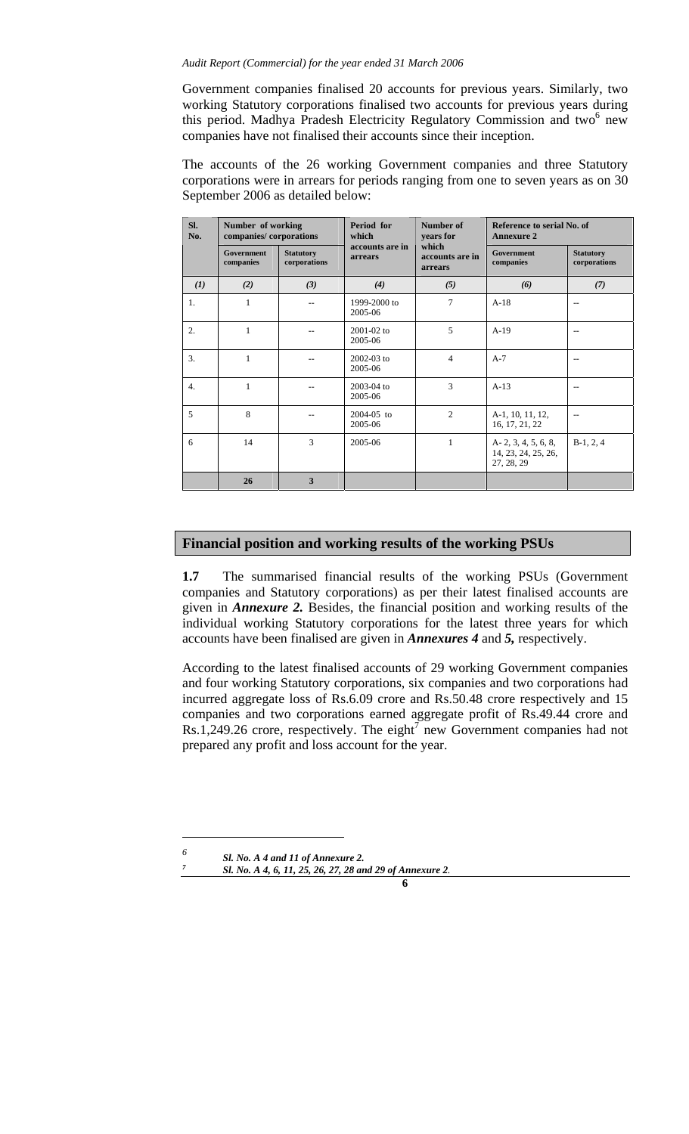#### *Audit Report (Commercial) for the year ended 31 March 2006*

Government companies finalised 20 accounts for previous years. Similarly, two working Statutory corporations finalised two accounts for previous years during this period. Madhya Pradesh Electricity Regulatory Commission and two<sup>6</sup> new companies have not finalised their accounts since their inception.

The accounts of the 26 working Government companies and three Statutory corporations were in arrears for periods ranging from one to seven years as on 30 September 2006 as detailed below:

| SI.<br>No.       | Number of working<br>companies/corporations |                                  | Period for<br>which        | Number of<br>years for                                                | Reference to serial No. of<br><b>Annexure 2</b>            |                                  |  |
|------------------|---------------------------------------------|----------------------------------|----------------------------|-----------------------------------------------------------------------|------------------------------------------------------------|----------------------------------|--|
|                  | <b>Government</b><br>companies              | <b>Statutory</b><br>corporations | accounts are in<br>arrears | which<br><b>Government</b><br>accounts are in<br>companies<br>arrears |                                                            | <b>Statutory</b><br>corporations |  |
| (I)              | (2)                                         | (3)                              | (4)                        | (5)                                                                   | (6)                                                        | (7)                              |  |
| 1.               | 1                                           |                                  | 1999-2000 to<br>2005-06    | 7                                                                     | $A-18$                                                     | $-$                              |  |
| 2.               | 1                                           |                                  | $2001 - 02$ to<br>2005-06  | 5                                                                     | $A-19$                                                     | $-$                              |  |
| 3.               | $\mathbf{1}$                                |                                  | $2002 - 03$ to<br>2005-06  | $\overline{4}$                                                        | $A-7$                                                      | $-$                              |  |
| $\overline{4}$ . | 1                                           |                                  | 2003-04 to<br>2005-06      | 3                                                                     | $A-13$                                                     | --                               |  |
| 5                | 8                                           |                                  | $2004 - 05$ to<br>2005-06  | $\overline{2}$                                                        | A-1, 10, 11, 12,<br>16, 17, 21, 22                         |                                  |  |
| 6                | 14                                          | 3                                | 2005-06                    | $\mathbf{1}$                                                          | $A-2, 3, 4, 5, 6, 8,$<br>14, 23, 24, 25, 26,<br>27, 28, 29 | $B-1, 2, 4$                      |  |
|                  | 26                                          | 3                                |                            |                                                                       |                                                            |                                  |  |

### **Financial position and working results of the working PSUs**

**1.7** The summarised financial results of the working PSUs (Government companies and Statutory corporations) as per their latest finalised accounts are given in *Annexure 2.* Besides, the financial position and working results of the individual working Statutory corporations for the latest three years for which accounts have been finalised are given in *Annexures 4* and *5,* respectively.

According to the latest finalised accounts of 29 working Government companies and four working Statutory corporations, six companies and two corporations had incurred aggregate loss of Rs.6.09 crore and Rs.50.48 crore respectively and 15 companies and two corporations earned aggregate profit of Rs.49.44 crore and  $Rs.1,249.26$  crore, respectively. The eight<sup>7</sup> new Government companies had not prepared any profit and loss account for the year.

 $\overline{a}$ *6*

*<sup>&</sup>lt;i>Sl. No. A 4 and 11 of Annexure 2.* 

*Sl. No. A 4, 6, 11, 25, 26, 27, 28 and 29 of Annexure 2.*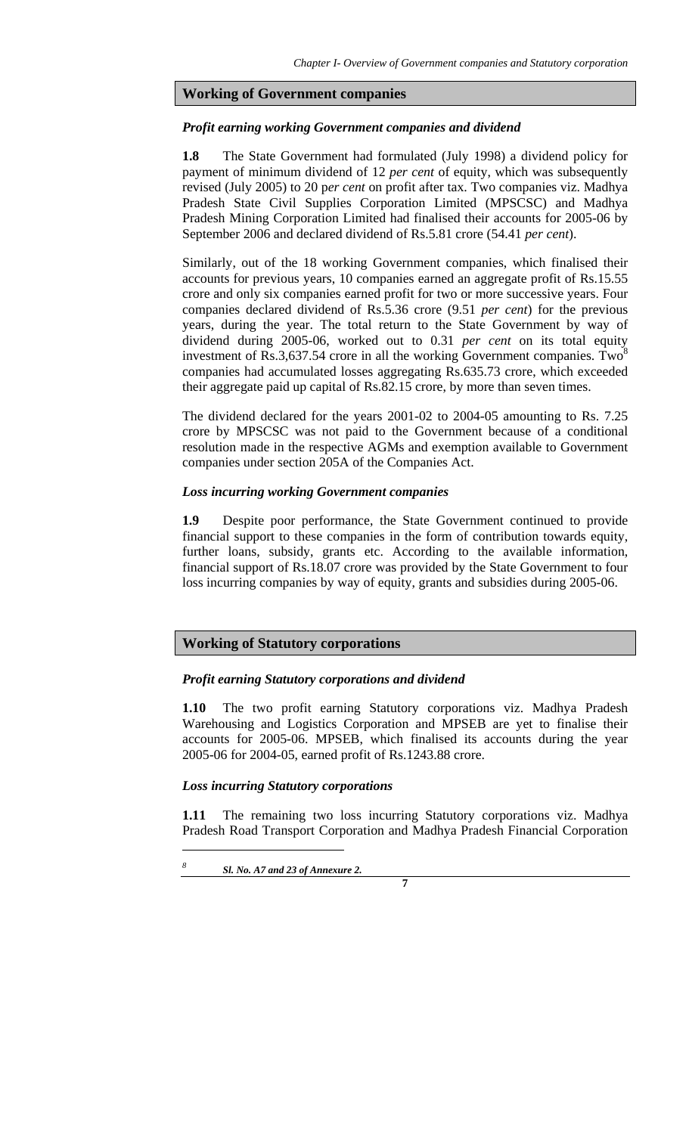### **Working of Government companies**

### *Profit earning working Government companies and dividend*

**1.8** The State Government had formulated (July 1998) a dividend policy for payment of minimum dividend of 12 *per cent* of equity, which was subsequently revised (July 2005) to 20 p*er cent* on profit after tax. Two companies viz. Madhya Pradesh State Civil Supplies Corporation Limited (MPSCSC) and Madhya Pradesh Mining Corporation Limited had finalised their accounts for 2005-06 by September 2006 and declared dividend of Rs.5.81 crore (54.41 *per cent*).

Similarly, out of the 18 working Government companies, which finalised their accounts for previous years, 10 companies earned an aggregate profit of Rs.15.55 crore and only six companies earned profit for two or more successive years. Four companies declared dividend of Rs.5.36 crore (9.51 *per cent*) for the previous years, during the year. The total return to the State Government by way of dividend during 2005-06, worked out to 0.31 *per cent* on its total equity investment of Rs.3,637.54 crore in all the working Government companies. Two<sup>8</sup> companies had accumulated losses aggregating Rs.635.73 crore, which exceeded their aggregate paid up capital of Rs.82.15 crore, by more than seven times.

The dividend declared for the years 2001-02 to 2004-05 amounting to Rs. 7.25 crore by MPSCSC was not paid to the Government because of a conditional resolution made in the respective AGMs and exemption available to Government companies under section 205A of the Companies Act.

#### *Loss incurring working Government companies*

**1.9** Despite poor performance, the State Government continued to provide financial support to these companies in the form of contribution towards equity, further loans, subsidy, grants etc. According to the available information, financial support of Rs.18.07 crore was provided by the State Government to four loss incurring companies by way of equity, grants and subsidies during 2005-06.

# **Working of Statutory corporations**

#### *Profit earning Statutory corporations and dividend*

**1.10** The two profit earning Statutory corporations viz. Madhya Pradesh Warehousing and Logistics Corporation and MPSEB are yet to finalise their accounts for 2005-06. MPSEB, which finalised its accounts during the year 2005-06 for 2004-05, earned profit of Rs.1243.88 crore.

#### *Loss incurring Statutory corporations*

**1.11** The remaining two loss incurring Statutory corporations viz. Madhya Pradesh Road Transport Corporation and Madhya Pradesh Financial Corporation

**7**

*8 Sl. No. A7 and 23 of Annexure 2.*

 $\overline{\phantom{a}}$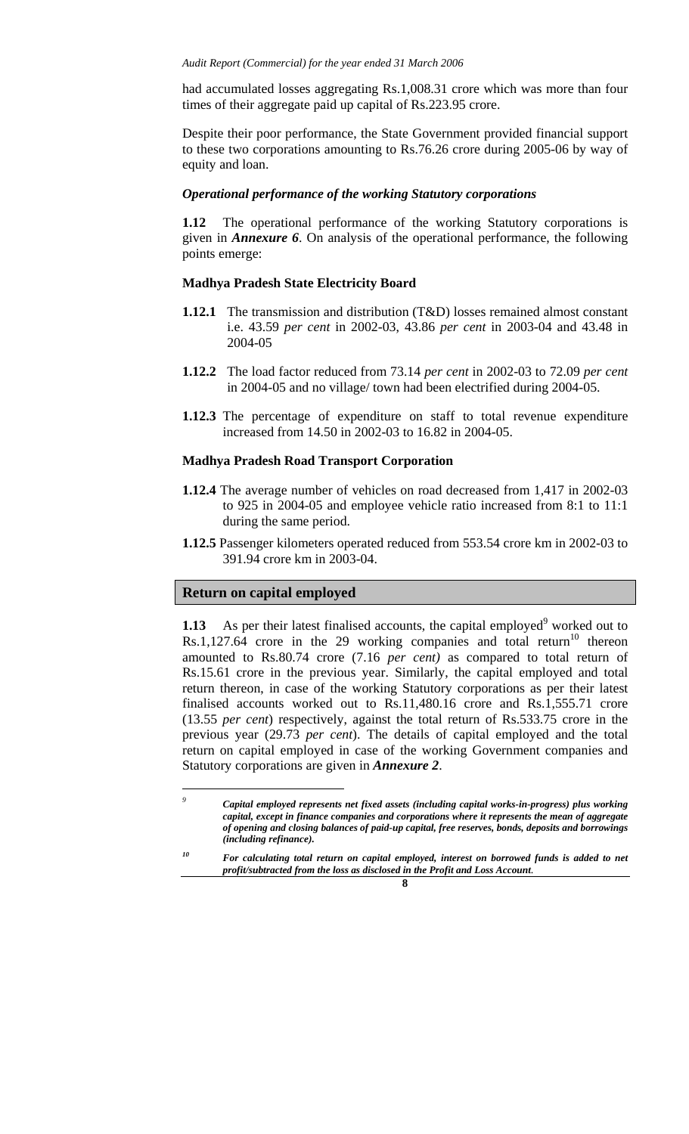had accumulated losses aggregating Rs.1,008.31 crore which was more than four times of their aggregate paid up capital of Rs.223.95 crore.

Despite their poor performance, the State Government provided financial support to these two corporations amounting to Rs.76.26 crore during 2005-06 by way of equity and loan.

#### *Operational performance of the working Statutory corporations*

**1.12** The operational performance of the working Statutory corporations is given in *Annexure 6*. On analysis of the operational performance, the following points emerge:

#### **Madhya Pradesh State Electricity Board**

- **1.12.1** The transmission and distribution (T&D) losses remained almost constant i.e. 43.59 *per cent* in 2002-03, 43.86 *per cent* in 2003-04 and 43.48 in 2004-05
- **1.12.2** The load factor reduced from 73.14 *per cent* in 2002-03 to 72.09 *per cent* in 2004-05 and no village/ town had been electrified during 2004-05.
- **1.12.3** The percentage of expenditure on staff to total revenue expenditure increased from 14.50 in 2002-03 to 16.82 in 2004-05.

#### **Madhya Pradesh Road Transport Corporation**

- **1.12.4** The average number of vehicles on road decreased from 1,417 in 2002-03 to 925 in 2004-05 and employee vehicle ratio increased from 8:1 to 11:1 during the same period.
- **1.12.5** Passenger kilometers operated reduced from 553.54 crore km in 2002-03 to 391.94 crore km in 2003-04.

#### **Return on capital employed**

 $\overline{\phantom{a}}$ 

**1.13** As per their latest finalised accounts, the capital employed<sup>9</sup> worked out to  $Rs.1,127.64$  crore in the 29 working companies and total return<sup>10</sup> thereon amounted to Rs.80.74 crore (7.16 *per cent)* as compared to total return of Rs.15.61 crore in the previous year. Similarly, the capital employed and total return thereon, in case of the working Statutory corporations as per their latest finalised accounts worked out to Rs.11,480.16 crore and Rs.1,555.71 crore (13.55 *per cent*) respectively, against the total return of Rs.533.75 crore in the previous year (29.73 *per cent*). The details of capital employed and the total return on capital employed in case of the working Government companies and Statutory corporations are given in *Annexure 2*.

For calculating total return on capital employed, interest on borrowed funds is added to net *profit/subtracted from the loss as disclosed in the Profit and Loss Account.* 



*<sup>9</sup> Capital employed represents net fixed assets (including capital works-in-progress) plus working capital, except in finance companies and corporations where it represents the mean of aggregate of opening and closing balances of paid-up capital, free reserves, bonds, deposits and borrowings (including refinance).*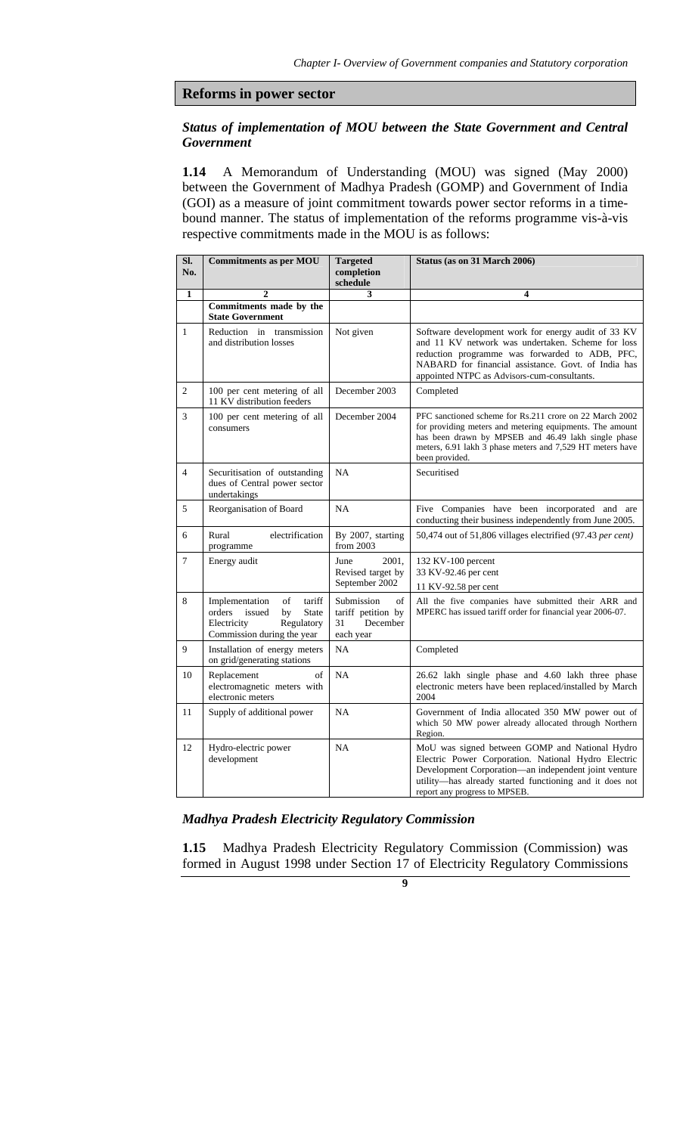#### **Reforms in power sector**

## *Status of implementation of MOU between the State Government and Central Government*

**1.14** A Memorandum of Understanding (MOU) was signed (May 2000) between the Government of Madhya Pradesh (GOMP) and Government of India (GOI) as a measure of joint commitment towards power sector reforms in a timebound manner. The status of implementation of the reforms programme vis-à-vis respective commitments made in the MOU is as follows:

| SI.<br>No.     | <b>Commitments as per MOU</b>                                                                                                       | <b>Targeted</b><br>completion<br>schedule                             | Status (as on 31 March 2006)                                                                                                                                                                                                                                     |
|----------------|-------------------------------------------------------------------------------------------------------------------------------------|-----------------------------------------------------------------------|------------------------------------------------------------------------------------------------------------------------------------------------------------------------------------------------------------------------------------------------------------------|
| $\mathbf{1}$   | $\overline{2}$                                                                                                                      | 3                                                                     | $\overline{\mathbf{4}}$                                                                                                                                                                                                                                          |
|                | Commitments made by the<br><b>State Government</b>                                                                                  |                                                                       |                                                                                                                                                                                                                                                                  |
| $\mathbf{1}$   | Reduction in transmission<br>and distribution losses                                                                                | Not given                                                             | Software development work for energy audit of 33 KV<br>and 11 KV network was undertaken. Scheme for loss<br>reduction programme was forwarded to ADB, PFC,<br>NABARD for financial assistance. Govt. of India has<br>appointed NTPC as Advisors-cum-consultants. |
| $\overline{c}$ | 100 per cent metering of all<br>11 KV distribution feeders                                                                          | December 2003                                                         | Completed                                                                                                                                                                                                                                                        |
| 3              | 100 per cent metering of all<br>consumers                                                                                           | December 2004                                                         | PFC sanctioned scheme for Rs.211 crore on 22 March 2002<br>for providing meters and metering equipments. The amount<br>has been drawn by MPSEB and 46.49 lakh single phase<br>meters, 6.91 lakh 3 phase meters and 7,529 HT meters have<br>been provided.        |
| $\overline{4}$ | Securitisation of outstanding<br>dues of Central power sector<br>undertakings                                                       | NA                                                                    | Securitised                                                                                                                                                                                                                                                      |
| 5              | Reorganisation of Board                                                                                                             | NA                                                                    | Five Companies have been incorporated and are<br>conducting their business independently from June 2005.                                                                                                                                                         |
| 6              | Rural<br>electrification<br>programme                                                                                               | By 2007, starting<br>from 2003                                        | 50,474 out of 51,806 villages electrified (97.43 per cent)                                                                                                                                                                                                       |
| 7              | Energy audit                                                                                                                        | 2001,<br>June<br>Revised target by<br>September 2002                  | 132 KV-100 percent<br>33 KV-92.46 per cent<br>11 KV-92.58 per cent                                                                                                                                                                                               |
| 8              | Implementation<br>of<br>tariff<br>orders<br>issued<br>by<br><b>State</b><br>Electricity<br>Regulatory<br>Commission during the year | of<br>Submission<br>tariff petition by<br>December<br>31<br>each year | All the five companies have submitted their ARR and<br>MPERC has issued tariff order for financial year 2006-07.                                                                                                                                                 |
| 9              | Installation of energy meters<br>on grid/generating stations                                                                        | <b>NA</b>                                                             | Completed                                                                                                                                                                                                                                                        |
| 10             | Replacement<br>of<br>electromagnetic meters with<br>electronic meters                                                               | NA                                                                    | 26.62 lakh single phase and 4.60 lakh three phase<br>electronic meters have been replaced/installed by March<br>2004                                                                                                                                             |
| 11             | Supply of additional power                                                                                                          | <b>NA</b>                                                             | Government of India allocated 350 MW power out of<br>which 50 MW power already allocated through Northern<br>Region.                                                                                                                                             |
| 12             | Hydro-electric power<br>development                                                                                                 | <b>NA</b>                                                             | MoU was signed between GOMP and National Hydro<br>Electric Power Corporation. National Hydro Electric<br>Development Corporation-an independent joint venture<br>utility-has already started functioning and it does not<br>report any progress to MPSEB.        |

# *Madhya Pradesh Electricity Regulatory Commission*

**1.15** Madhya Pradesh Electricity Regulatory Commission (Commission) was formed in August 1998 under Section 17 of Electricity Regulatory Commissions

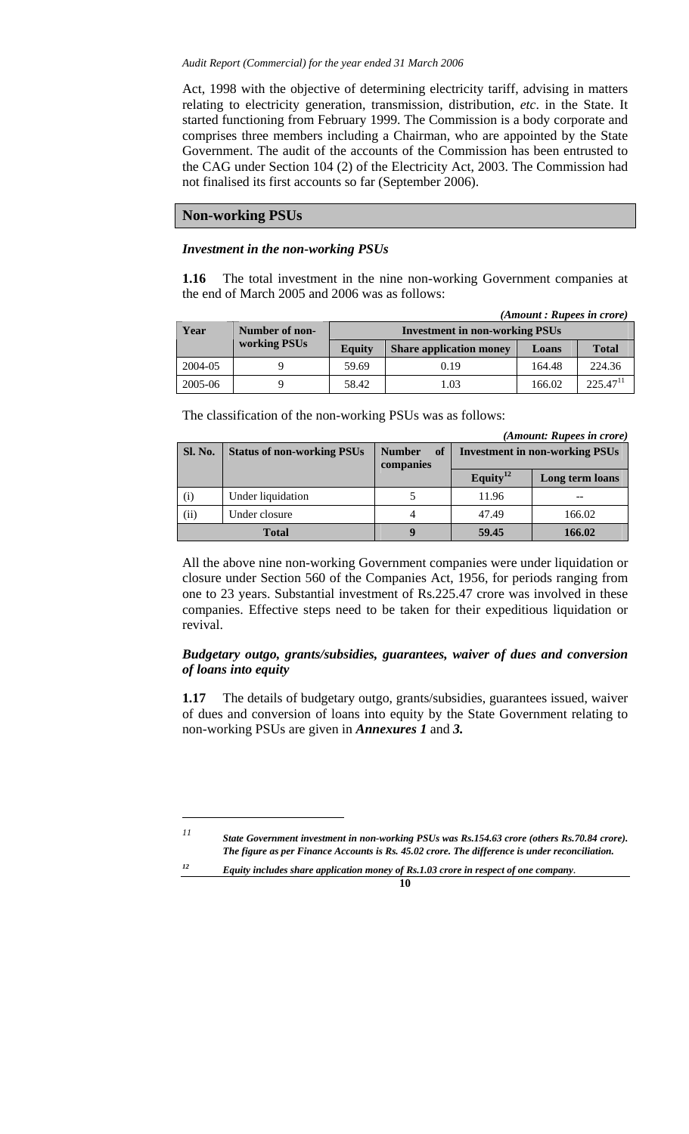Act, 1998 with the objective of determining electricity tariff, advising in matters relating to electricity generation, transmission, distribution, *etc*. in the State. It started functioning from February 1999. The Commission is a body corporate and comprises three members including a Chairman, who are appointed by the State Government. The audit of the accounts of the Commission has been entrusted to the CAG under Section 104 (2) of the Electricity Act, 2003. The Commission had not finalised its first accounts so far (September 2006).

### **Non-working PSUs**

 $\overline{\phantom{a}}$ 

#### *Investment in the non-working PSUs*

**1.16** The total investment in the nine non-working Government companies at the end of March 2005 and 2006 was as follows:

|         | (Amount : Rupees in crore) |                                       |                                |        |               |  |  |  |  |
|---------|----------------------------|---------------------------------------|--------------------------------|--------|---------------|--|--|--|--|
| Year    | Number of non-             | <b>Investment in non-working PSUs</b> |                                |        |               |  |  |  |  |
|         | working PSUs               | <b>Equity</b>                         | <b>Share application money</b> |        | <b>Total</b>  |  |  |  |  |
| 2004-05 |                            | 59.69                                 | 0.19                           | 164.48 | 224.36        |  |  |  |  |
| 2005-06 |                            | 58.42                                 | 1.03                           | 166.02 | $225.47^{11}$ |  |  |  |  |

The classification of the non-working PSUs was as follows:

*(Amount: Rupees in crore)* 

| <b>Sl. No.</b> | <b>Status of non-working PSUs</b> | of<br><b>Number</b><br>companies | <b>Investment in non-working PSUs</b> |                 |  |  |
|----------------|-----------------------------------|----------------------------------|---------------------------------------|-----------------|--|--|
|                |                                   |                                  | Equity <sup>12</sup>                  | Long term loans |  |  |
| (i)            | Under liquidation                 |                                  | 11.96                                 |                 |  |  |
| (ii)           | Under closure                     |                                  | 47.49                                 | 166.02          |  |  |
|                | <b>Total</b>                      |                                  | 59.45                                 | 166.02          |  |  |

All the above nine non-working Government companies were under liquidation or closure under Section 560 of the Companies Act, 1956, for periods ranging from one to 23 years. Substantial investment of Rs.225.47 crore was involved in these companies. Effective steps need to be taken for their expeditious liquidation or revival.

# *Budgetary outgo, grants/subsidies, guarantees, waiver of dues and conversion of loans into equity*

**1.17** The details of budgetary outgo, grants/subsidies, guarantees issued, waiver of dues and conversion of loans into equity by the State Government relating to non-working PSUs are given in *Annexures 1* and *3.* 

*11 State Government investment in non-working PSUs was Rs.154.63 crore (others Rs.70.84 crore). The figure as per Finance Accounts is Rs. 45.02 crore. The difference is under reconciliation.* 

*12 Equity includes share application money of Rs.1.03 crore in respect of one company.*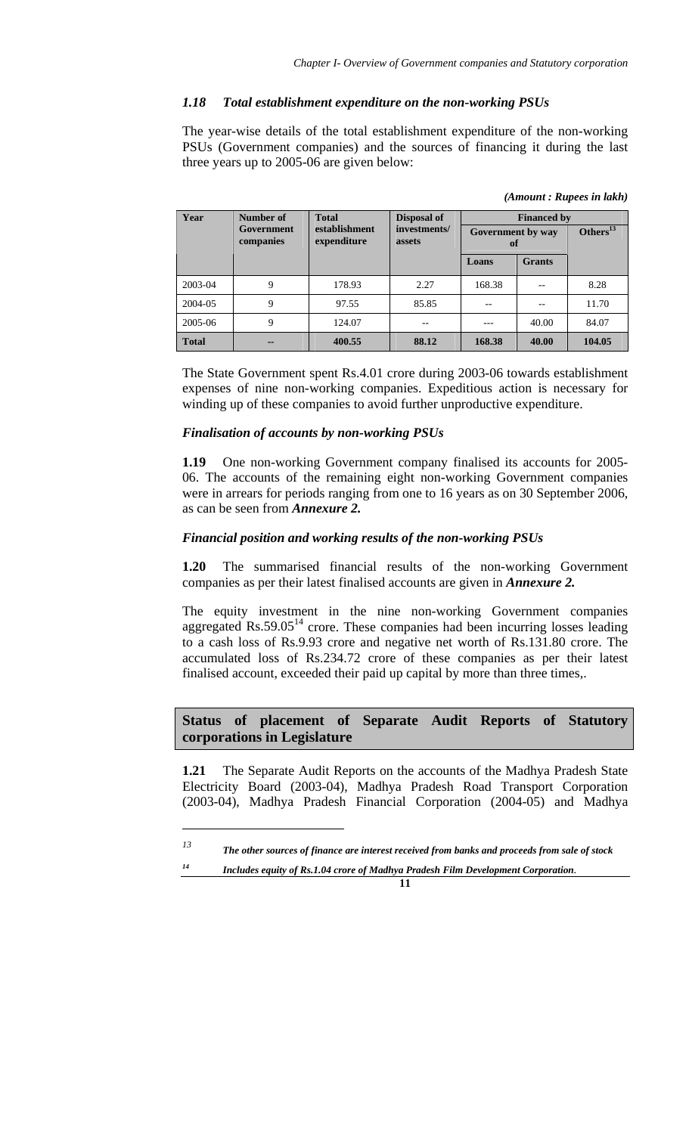# *1.18 Total establishment expenditure on the non-working PSUs*

The year-wise details of the total establishment expenditure of the non-working PSUs (Government companies) and the sources of financing it during the last three years up to 2005-06 are given below:

| Year         | Number of               | <b>Total</b>                 | <b>Disposal of</b>     | <b>Financed by</b>      |               |                |  |
|--------------|-------------------------|------------------------------|------------------------|-------------------------|---------------|----------------|--|
|              | Government<br>companies | establishment<br>expenditure | investments/<br>assets | Government by way<br>of |               | Others $^{13}$ |  |
|              |                         |                              |                        | Loans                   | <b>Grants</b> |                |  |
| 2003-04      | 9                       | 178.93                       | 2.27                   | 168.38                  |               | 8.28           |  |
| 2004-05      | 9                       | 97.55                        | 85.85                  |                         |               | 11.70          |  |
| 2005-06      | 9                       | 124.07                       |                        |                         | 40.00         | 84.07          |  |
| <b>Total</b> | --                      | 400.55                       | 88.12                  | 168.38                  | 40.00         | 104.05         |  |

 *(Amount : Rupees in lakh)* 

The State Government spent Rs.4.01 crore during 2003-06 towards establishment expenses of nine non-working companies. Expeditious action is necessary for winding up of these companies to avoid further unproductive expenditure.

### *Finalisation of accounts by non-working PSUs*

 $\overline{a}$ 

**1.19** One non-working Government company finalised its accounts for 2005- 06. The accounts of the remaining eight non-working Government companies were in arrears for periods ranging from one to 16 years as on 30 September 2006, as can be seen from *Annexure 2.* 

## *Financial position and working results of the non-working PSUs*

**1.20** The summarised financial results of the non-working Government companies as per their latest finalised accounts are given in *Annexure 2.*

The equity investment in the nine non-working Government companies aggregated  $\text{Rs.59.05}^{14}$  crore. These companies had been incurring losses leading to a cash loss of Rs.9.93 crore and negative net worth of Rs.131.80 crore. The accumulated loss of Rs.234.72 crore of these companies as per their latest finalised account, exceeded their paid up capital by more than three times,.

# **Status of placement of Separate Audit Reports of Statutory corporations in Legislature**

**1.21** The Separate Audit Reports on the accounts of the Madhya Pradesh State Electricity Board (2003-04), Madhya Pradesh Road Transport Corporation (2003-04), Madhya Pradesh Financial Corporation (2004-05) and Madhya

*<sup>13</sup> The other sources of finance are interest received from banks and proceeds from sale of stock* 

*<sup>14</sup> Includes equity of Rs.1.04 crore of Madhya Pradesh Film Development Corporation.*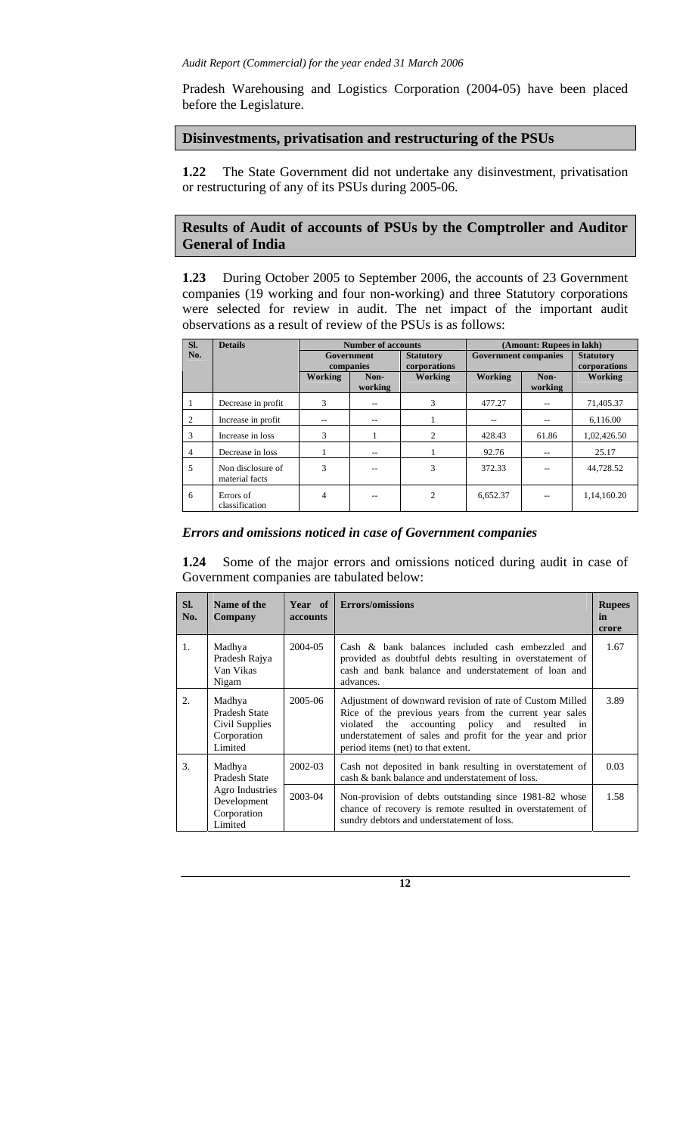Pradesh Warehousing and Logistics Corporation (2004-05) have been placed before the Legislature.

# **Disinvestments, privatisation and restructuring of the PSUs**

**1.22** The State Government did not undertake any disinvestment, privatisation or restructuring of any of its PSUs during 2005-06.

# **Results of Audit of accounts of PSUs by the Comptroller and Auditor General of India**

**1.23** During October 2005 to September 2006, the accounts of 23 Government companies (19 working and four non-working) and three Statutory corporations were selected for review in audit. The net impact of the important audit observations as a result of review of the PSUs is as follows:

| SI. | <b>Details</b>                      | <b>Number of accounts</b><br>(Amount: Rupees in lakh) |                         |                                  |                             |                 |                                  |
|-----|-------------------------------------|-------------------------------------------------------|-------------------------|----------------------------------|-----------------------------|-----------------|----------------------------------|
| No. |                                     |                                                       | Government<br>companies | <b>Statutory</b><br>corporations | <b>Government companies</b> |                 | <b>Statutory</b><br>corporations |
|     |                                     | Working                                               | Non-<br>working         | Working                          | Working                     | Non-<br>working | Working                          |
|     | Decrease in profit                  | 3                                                     |                         | 3                                | 477.27                      |                 | 71,405.37                        |
| 2   | Increase in profit                  | --                                                    | --                      |                                  | --                          |                 | 6,116.00                         |
| 3   | Increase in loss                    | 3                                                     |                         | 2                                | 428.43                      | 61.86           | 1.02.426.50                      |
| 4   | Decrease in loss                    |                                                       | --                      |                                  | 92.76                       |                 | 25.17                            |
| 5   | Non disclosure of<br>material facts | $\mathbf{3}$                                          |                         | 3                                | 372.33                      |                 | 44.728.52                        |
| 6   | Errors of<br>classification         | 4                                                     |                         | 2                                | 6.652.37                    |                 | 1,14,160.20                      |

### *Errors and omissions noticed in case of Government companies*

**1.24** Some of the major errors and omissions noticed during audit in case of Government companies are tabulated below:

| SI.<br>No. | Name of the<br>Company                                              | <b>accounts</b> | Year of Errors/omissions                                                                                                                                                                                                                                                      | <b>Rupees</b><br>in<br>crore |
|------------|---------------------------------------------------------------------|-----------------|-------------------------------------------------------------------------------------------------------------------------------------------------------------------------------------------------------------------------------------------------------------------------------|------------------------------|
| 1.         | Madhya<br>Pradesh Rajya<br>Van Vikas<br>Nigam                       | 2004-05         | Cash & bank balances included cash embezzled and<br>provided as doubtful debts resulting in overstatement of<br>cash and bank balance and understatement of loan and<br>advances.                                                                                             | 1.67                         |
| 2.         | Madhya<br>Pradesh State<br>Civil Supplies<br>Corporation<br>Limited | 2005-06         | Adjustment of downward revision of rate of Custom Milled<br>Rice of the previous years from the current year sales<br>accounting policy and resulted in<br>violated<br>the<br>understatement of sales and profit for the year and prior<br>period items (net) to that extent. | 3.89                         |
| 3.         | Madhya<br>Pradesh State                                             | 2002-03         | Cash not deposited in bank resulting in overstatement of<br>cash & bank balance and understatement of loss.                                                                                                                                                                   | 0.03                         |
|            | Agro Industries<br>Development<br>Corporation<br>Limited            | 2003-04         | Non-provision of debts outstanding since 1981-82 whose<br>chance of recovery is remote resulted in overstatement of<br>sundry debtors and understatement of loss.                                                                                                             | 1.58                         |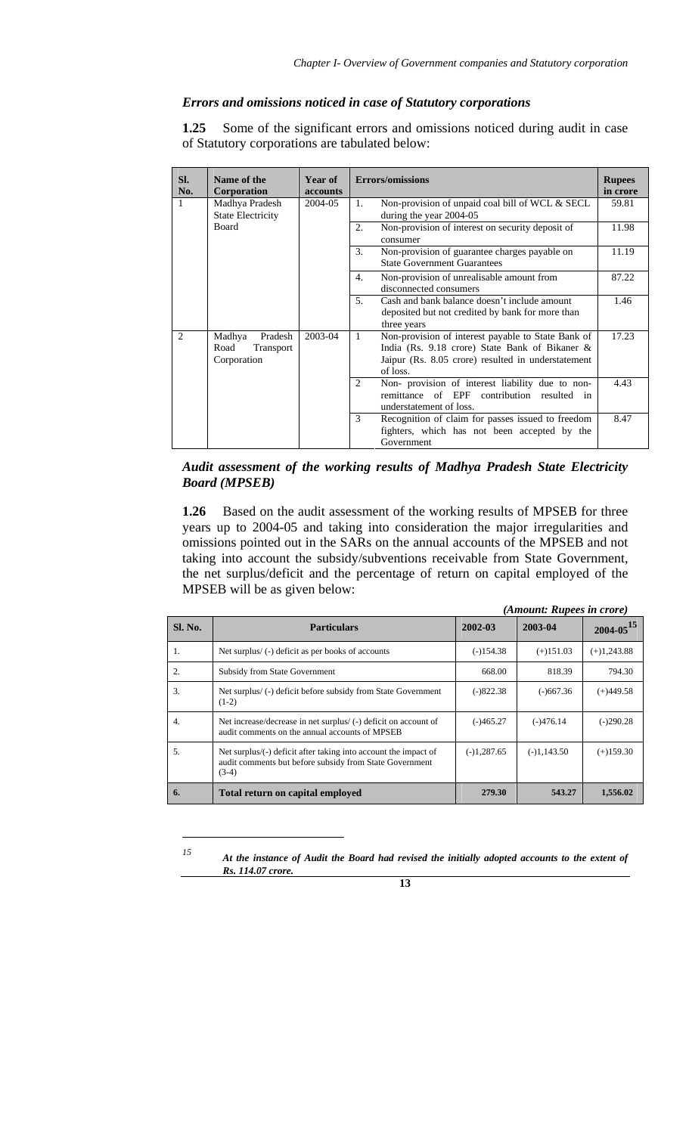# *Errors and omissions noticed in case of Statutory corporations*

**1.25** Some of the significant errors and omissions noticed during audit in case of Statutory corporations are tabulated below:

| SI.<br>No.    | Name of the<br>Corporation                            | Year of<br><b>accounts</b> | <b>Errors/omissions</b>                                                                                                                                                     |       |
|---------------|-------------------------------------------------------|----------------------------|-----------------------------------------------------------------------------------------------------------------------------------------------------------------------------|-------|
| $\mathbf{1}$  | Madhya Pradesh<br><b>State Electricity</b>            | 2004-05                    | Non-provision of unpaid coal bill of WCL & SECL<br>1.<br>during the year 2004-05                                                                                            | 59.81 |
|               | Board                                                 |                            | Non-provision of interest on security deposit of<br>2.<br>consumer                                                                                                          | 11.98 |
|               |                                                       |                            | 3.<br>Non-provision of guarantee charges payable on<br><b>State Government Guarantees</b>                                                                                   | 11.19 |
|               |                                                       |                            | Non-provision of unrealisable amount from<br>4.<br>disconnected consumers                                                                                                   | 87.22 |
|               |                                                       |                            | 5.<br>Cash and bank balance doesn't include amount<br>deposited but not credited by bank for more than<br>three years                                                       | 1.46  |
| $\mathcal{L}$ | Madhya<br>Pradesh<br>Road<br>Transport<br>Corporation | 2003-04                    | Non-provision of interest payable to State Bank of<br>1<br>India (Rs. 9.18 crore) State Bank of Bikaner &<br>Jaipur (Rs. 8.05 crore) resulted in understatement<br>of loss. | 17.23 |
|               |                                                       |                            | Non- provision of interest liability due to non-<br>2<br>remittance of EPF<br>contribution resulted in<br>understatement of loss.                                           | 4.43  |
|               |                                                       |                            | Recognition of claim for passes issued to freedom<br>3<br>fighters, which has not been accepted by the<br>Government                                                        | 8.47  |

## *Audit assessment of the working results of Madhya Pradesh State Electricity Board (MPSEB)*

**1.26** Based on the audit assessment of the working results of MPSEB for three years up to 2004-05 and taking into consideration the major irregularities and omissions pointed out in the SARs on the annual accounts of the MPSEB and not taking into account the subsidy/subventions receivable from State Government, the net surplus/deficit and the percentage of return on capital employed of the MPSEB will be as given below:

|                  |                                                                                                                                       | (Amount: Rupees in crore) |               |                  |  |
|------------------|---------------------------------------------------------------------------------------------------------------------------------------|---------------------------|---------------|------------------|--|
| Sl. No.          | <b>Particulars</b>                                                                                                                    | 2002-03                   | 2003-04       | $2004 - 05^{15}$ |  |
| 1.               | Net surplus/ (-) deficit as per books of accounts                                                                                     | $(-)154.38$               | $(+)151.03$   | $(+)1,243.88$    |  |
| 2.               | <b>Subsidy from State Government</b>                                                                                                  | 668.00                    | 818.39        | 794.30           |  |
| 3.               | Net surplus/(-) deficit before subsidy from State Government<br>$(1-2)$                                                               | $(-)822.38$               | $(-)667.36$   | $(+)449.58$      |  |
| $\overline{4}$ . | Net increase/decrease in net surplus/ (-) deficit on account of<br>audit comments on the annual accounts of MPSEB                     | $(-)465.27$               | $(-)476.14$   | $(-)290.28$      |  |
| 5.               | Net surplus/(-) deficit after taking into account the impact of<br>audit comments but before subsidy from State Government<br>$(3-4)$ | $(-)1,287.65$             | $(-)1,143.50$ | $(+)159.30$      |  |
| 6.               | Total return on capital employed                                                                                                      | 279.30                    | 543.27        | 1,556.02         |  |

*15 At the instance of Audit the Board had revised the initially adopted accounts to the extent of Rs. 114.07 crore.* 



 $\overline{a}$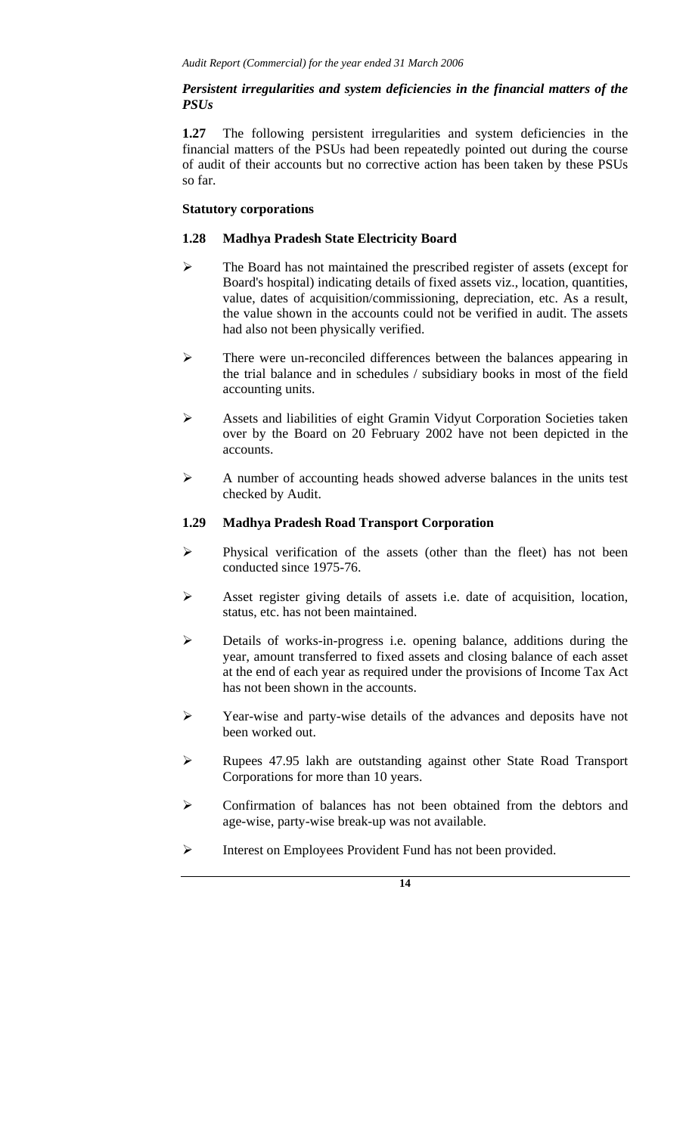## *Persistent irregularities and system deficiencies in the financial matters of the PSUs*

**1.27** The following persistent irregularities and system deficiencies in the financial matters of the PSUs had been repeatedly pointed out during the course of audit of their accounts but no corrective action has been taken by these PSUs so far.

# **Statutory corporations**

## **1.28 Madhya Pradesh State Electricity Board**

- ¾ The Board has not maintained the prescribed register of assets (except for Board's hospital) indicating details of fixed assets viz., location, quantities, value, dates of acquisition/commissioning, depreciation, etc. As a result, the value shown in the accounts could not be verified in audit. The assets had also not been physically verified.
- ¾ There were un-reconciled differences between the balances appearing in the trial balance and in schedules / subsidiary books in most of the field accounting units.
- ¾ Assets and liabilities of eight Gramin Vidyut Corporation Societies taken over by the Board on 20 February 2002 have not been depicted in the accounts.
- ¾ A number of accounting heads showed adverse balances in the units test checked by Audit.

### **1.29 Madhya Pradesh Road Transport Corporation**

- ¾ Physical verification of the assets (other than the fleet) has not been conducted since 1975-76.
- ¾ Asset register giving details of assets i.e. date of acquisition, location, status, etc. has not been maintained.
- ¾ Details of works-in-progress i.e. opening balance, additions during the year, amount transferred to fixed assets and closing balance of each asset at the end of each year as required under the provisions of Income Tax Act has not been shown in the accounts.
- ¾ Year-wise and party-wise details of the advances and deposits have not been worked out.
- ¾ Rupees 47.95 lakh are outstanding against other State Road Transport Corporations for more than 10 years.
- ¾ Confirmation of balances has not been obtained from the debtors and age-wise, party-wise break-up was not available.
- ¾ Interest on Employees Provident Fund has not been provided.

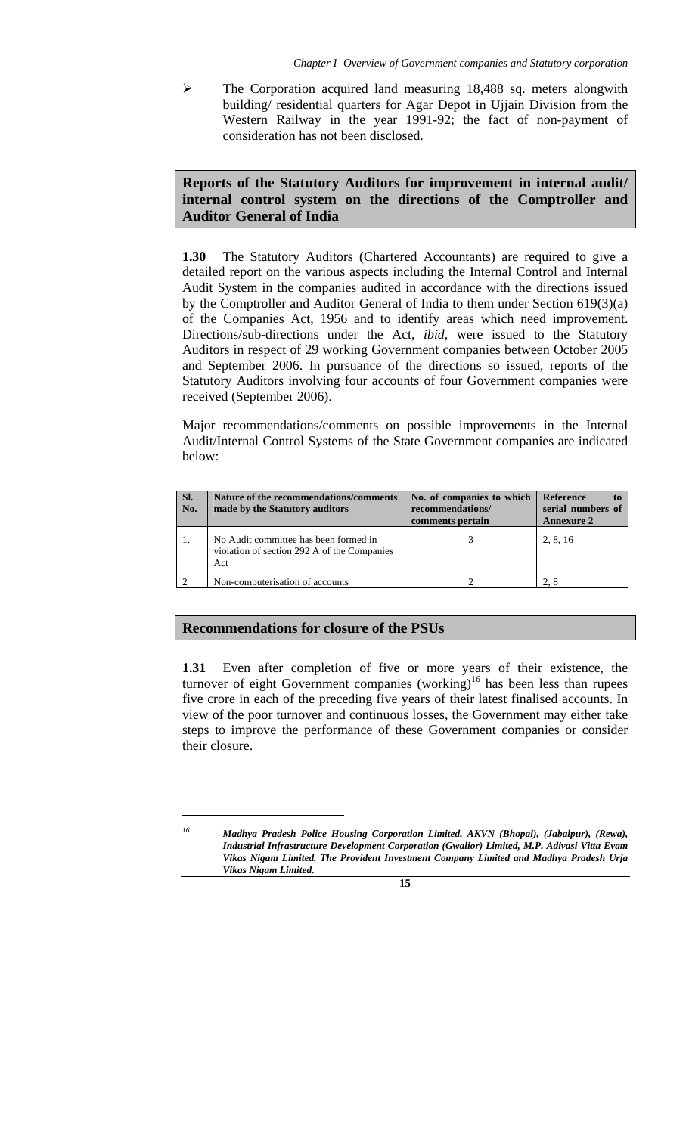$\triangleright$  The Corporation acquired land measuring 18,488 sq. meters alongwith building/ residential quarters for Agar Depot in Ujjain Division from the Western Railway in the year 1991-92; the fact of non-payment of consideration has not been disclosed.

# **Reports of the Statutory Auditors for improvement in internal audit/ internal control system on the directions of the Comptroller and Auditor General of India**

**1.30** The Statutory Auditors (Chartered Accountants) are required to give a detailed report on the various aspects including the Internal Control and Internal Audit System in the companies audited in accordance with the directions issued by the Comptroller and Auditor General of India to them under Section 619(3)(a) of the Companies Act, 1956 and to identify areas which need improvement. Directions/sub-directions under the Act, *ibid*, were issued to the Statutory Auditors in respect of 29 working Government companies between October 2005 and September 2006. In pursuance of the directions so issued, reports of the Statutory Auditors involving four accounts of four Government companies were received (September 2006).

Major recommendations/comments on possible improvements in the Internal Audit/Internal Control Systems of the State Government companies are indicated below:

| SI.<br>No. | Nature of the recommendations/comments<br>made by the Statutory auditors                    | No. of companies to which<br>recommendations/<br>comments pertain | <b>Reference</b><br>serial numbers of<br><b>Annexure 2</b> |
|------------|---------------------------------------------------------------------------------------------|-------------------------------------------------------------------|------------------------------------------------------------|
|            | No Audit committee has been formed in<br>violation of section 292 A of the Companies<br>Act |                                                                   | 2, 8, 16                                                   |
|            | Non-computerisation of accounts                                                             |                                                                   | 2.8                                                        |

# **Recommendations for closure of the PSUs**

**1.31** Even after completion of five or more years of their existence, the turnover of eight Government companies (working)<sup>16</sup> has been less than rupees five crore in each of the preceding five years of their latest finalised accounts. In view of the poor turnover and continuous losses, the Government may either take steps to improve the performance of these Government companies or consider their closure.

 $\overline{a}$ 

*<sup>16</sup> Madhya Pradesh Police Housing Corporation Limited, AKVN (Bhopal), (Jabalpur), (Rewa), Industrial Infrastructure Development Corporation (Gwalior) Limited, M.P. Adivasi Vitta Evam Vikas Nigam Limited. The Provident Investment Company Limited and Madhya Pradesh Urja Vikas Nigam Limited.*